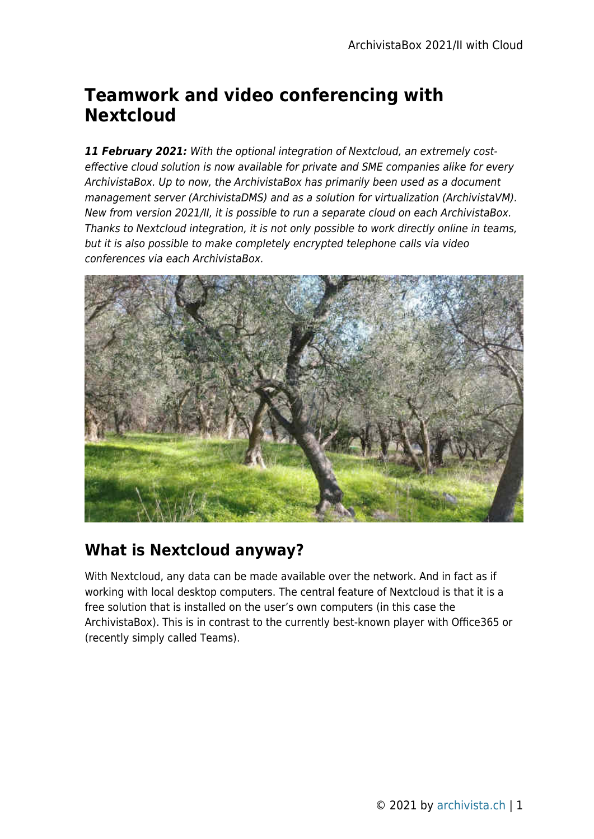# **Teamwork and video conferencing with Nextcloud**

*11 February 2021:* With the optional integration of Nextcloud, an extremely costeffective cloud solution is now available for private and SME companies alike for every ArchivistaBox. Up to now, the ArchivistaBox has primarily been used as a document management server (ArchivistaDMS) and as a solution for virtualization (ArchivistaVM). New from version 2021/II, it is possible to run a separate cloud on each ArchivistaBox. Thanks to Nextcloud integration, it is not only possible to work directly online in teams, but it is also possible to make completely encrypted telephone calls via video conferences via each ArchivistaBox.



#### **What is Nextcloud anyway?**

With Nextcloud, any data can be made available over the network. And in fact as if working with local desktop computers. The central feature of Nextcloud is that it is a free solution that is installed on the user's own computers (in this case the ArchivistaBox). This is in contrast to the currently best-known player with Office365 or (recently simply called Teams).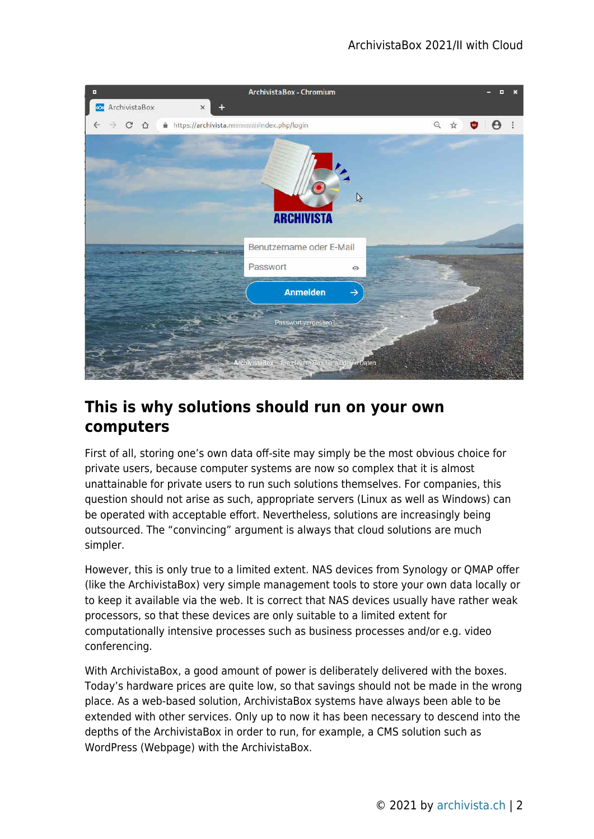

#### **This is why solutions should run on your own computers**

First of all, storing one's own data off-site may simply be the most obvious choice for private users, because computer systems are now so complex that it is almost unattainable for private users to run such solutions themselves. For companies, this question should not arise as such, appropriate servers (Linux as well as Windows) can be operated with acceptable effort. Nevertheless, solutions are increasingly being outsourced. The "convincing" argument is always that cloud solutions are much simpler.

However, this is only true to a limited extent. NAS devices from Synology or QMAP offer (like the ArchivistaBox) very simple management tools to store your own data locally or to keep it available via the web. It is correct that NAS devices usually have rather weak processors, so that these devices are only suitable to a limited extent for computationally intensive processes such as business processes and/or e.g. video conferencing.

With ArchivistaBox, a good amount of power is deliberately delivered with the boxes. Today's hardware prices are quite low, so that savings should not be made in the wrong place. As a web-based solution, ArchivistaBox systems have always been able to be extended with other services. Only up to now it has been necessary to descend into the depths of the ArchivistaBox in order to run, for example, a CMS solution such as WordPress (Webpage) with the ArchivistaBox.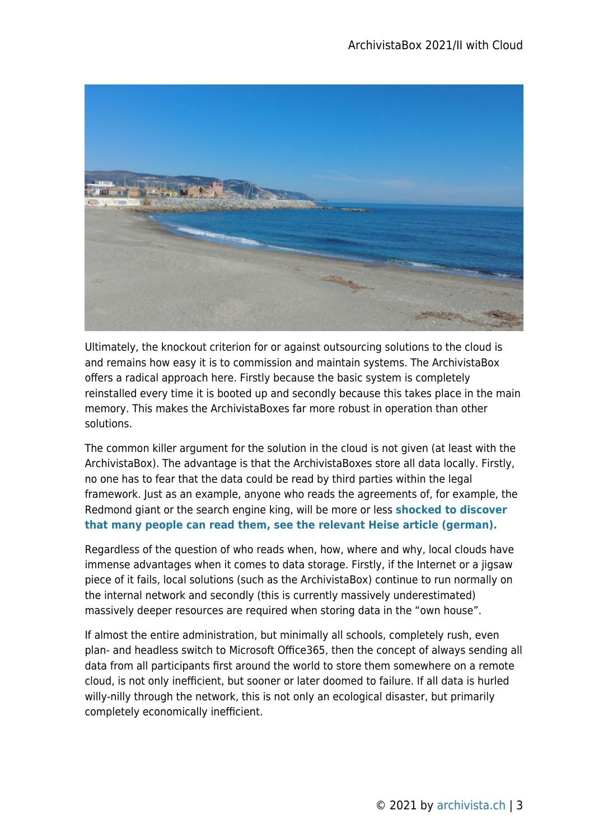

Ultimately, the knockout criterion for or against outsourcing solutions to the cloud is and remains how easy it is to commission and maintain systems. The ArchivistaBox offers a radical approach here. Firstly because the basic system is completely reinstalled every time it is booted up and secondly because this takes place in the main memory. This makes the ArchivistaBoxes far more robust in operation than other solutions.

The common killer argument for the solution in the cloud is not given (at least with the ArchivistaBox). The advantage is that the ArchivistaBoxes store all data locally. Firstly, no one has to fear that the data could be read by third parties within the legal framework. Just as an example, anyone who reads the agreements of, for example, the Redmond giant or the search engine king, will be more or less **[shocked to discover](https://www.heise.de/news/Microsoft-Office-365-Die-Gruende-fuer-das-Nein-der-Datenschuetzer-4919847.html) [that many people can read them, see the relevant Heise article \(german\).](https://www.heise.de/news/Microsoft-Office-365-Die-Gruende-fuer-das-Nein-der-Datenschuetzer-4919847.html)**

Regardless of the question of who reads when, how, where and why, local clouds have immense advantages when it comes to data storage. Firstly, if the Internet or a jigsaw piece of it fails, local solutions (such as the ArchivistaBox) continue to run normally on the internal network and secondly (this is currently massively underestimated) massively deeper resources are required when storing data in the "own house".

If almost the entire administration, but minimally all schools, completely rush, even plan- and headless switch to Microsoft Office365, then the concept of always sending all data from all participants first around the world to store them somewhere on a remote cloud, is not only inefficient, but sooner or later doomed to failure. If all data is hurled willy-nilly through the network, this is not only an ecological disaster, but primarily completely economically inefficient.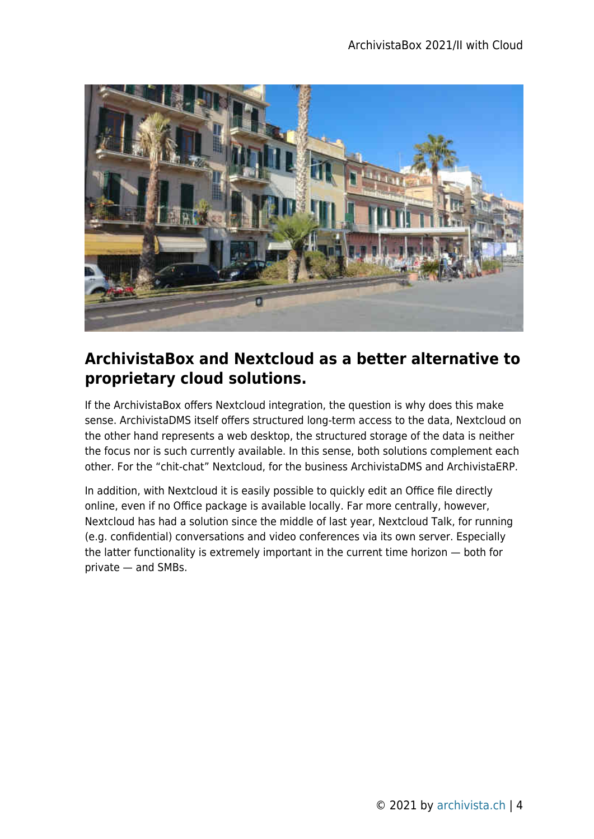

#### **ArchivistaBox and Nextcloud as a better alternative to proprietary cloud solutions.**

If the ArchivistaBox offers Nextcloud integration, the question is why does this make sense. ArchivistaDMS itself offers structured long-term access to the data, Nextcloud on the other hand represents a web desktop, the structured storage of the data is neither the focus nor is such currently available. In this sense, both solutions complement each other. For the "chit-chat" Nextcloud, for the business ArchivistaDMS and ArchivistaERP.

In addition, with Nextcloud it is easily possible to quickly edit an Office file directly online, even if no Office package is available locally. Far more centrally, however, Nextcloud has had a solution since the middle of last year, Nextcloud Talk, for running (e.g. confidential) conversations and video conferences via its own server. Especially the latter functionality is extremely important in the current time horizon — both for private — and SMBs.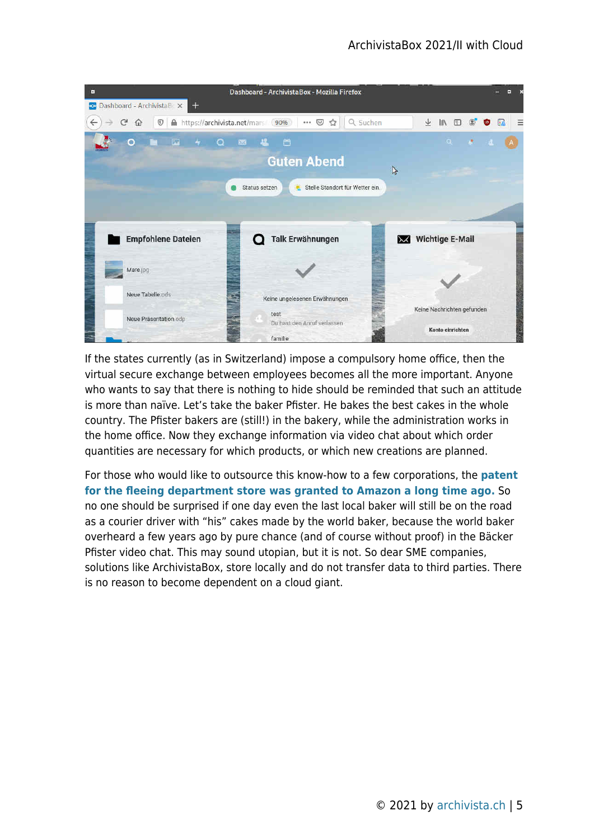

If the states currently (as in Switzerland) impose a compulsory home office, then the virtual secure exchange between employees becomes all the more important. Anyone who wants to say that there is nothing to hide should be reminded that such an attitude is more than naïve. Let's take the baker Pfister. He bakes the best cakes in the whole country. The Pfister bakers are (still!) in the bakery, while the administration works in the home office. Now they exchange information via video chat about which order quantities are necessary for which products, or which new creations are planned.

For those who would like to outsource this know-how to a few corporations, the **[patent](https://www.20min.ch/story/amazon-laesst-fliegende-warenhaeuser-patentieren-109429445572) [for the fleeing department store was granted to Amazon a long time ago.](https://www.20min.ch/story/amazon-laesst-fliegende-warenhaeuser-patentieren-109429445572)** So no one should be surprised if one day even the last local baker will still be on the road as a courier driver with "his" cakes made by the world baker, because the world baker overheard a few years ago by pure chance (and of course without proof) in the Bäcker Pfister video chat. This may sound utopian, but it is not. So dear SME companies, solutions like ArchivistaBox, store locally and do not transfer data to third parties. There is no reason to become dependent on a cloud giant.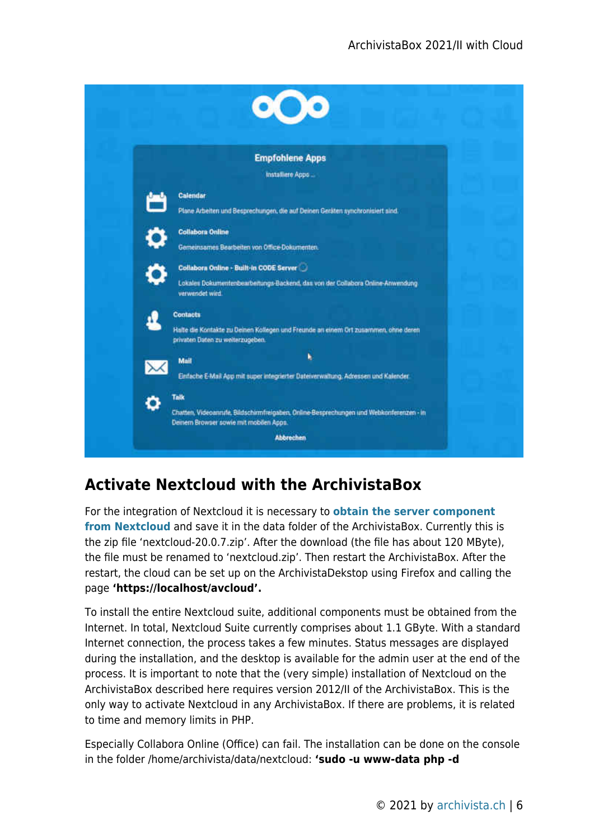

# **Activate Nextcloud with the ArchivistaBox**

For the integration of Nextcloud it is necessary to **[obtain the server component](https://nextcloud.com/install/#instructions-server) [from Nextcloud](https://nextcloud.com/install/#instructions-server)** and save it in the data folder of the ArchivistaBox. Currently this is the zip file 'nextcloud-20.0.7.zip'. After the download (the file has about 120 MByte), the file must be renamed to 'nextcloud.zip'. Then restart the ArchivistaBox. After the restart, the cloud can be set up on the ArchivistaDekstop using Firefox and calling the page **'https://localhost/avcloud'.**

To install the entire Nextcloud suite, additional components must be obtained from the Internet. In total, Nextcloud Suite currently comprises about 1.1 GByte. With a standard Internet connection, the process takes a few minutes. Status messages are displayed during the installation, and the desktop is available for the admin user at the end of the process. It is important to note that the (very simple) installation of Nextcloud on the ArchivistaBox described here requires version 2012/II of the ArchivistaBox. This is the only way to activate Nextcloud in any ArchivistaBox. If there are problems, it is related to time and memory limits in PHP.

Especially Collabora Online (Office) can fail. The installation can be done on the console in the folder /home/archivista/data/nextcloud: **'sudo -u www-data php -d**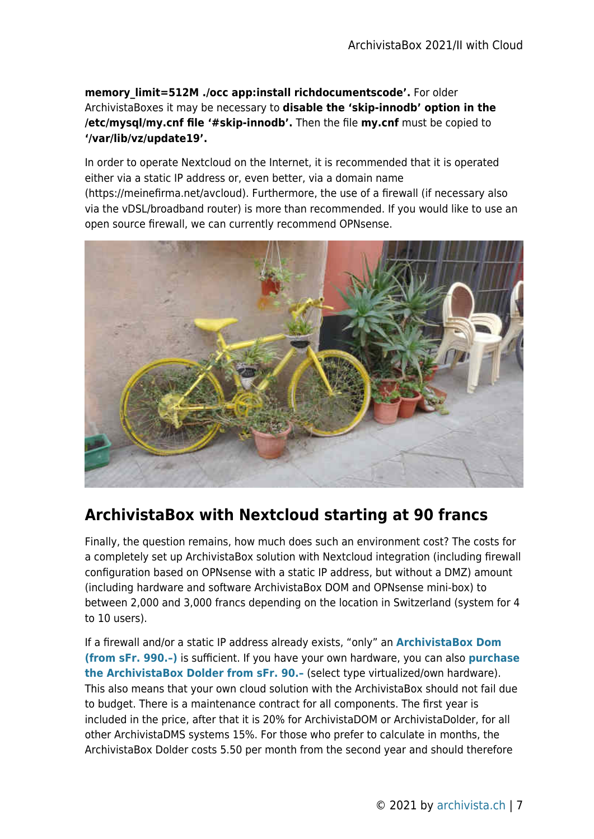**memory\_limit=512M ./occ app:install richdocumentscode'.** For older ArchivistaBoxes it may be necessary to **disable the 'skip-innodb' option in the /etc/mysql/my.cnf file '#skip-innodb'.** Then the file **my.cnf** must be copied to **'/var/lib/vz/update19'.**

In order to operate Nextcloud on the Internet, it is recommended that it is operated either via a static IP address or, even better, via a domain name (https://meinefirma.net/avcloud). Furthermore, the use of a firewall (if necessary also via the vDSL/broadband router) is more than recommended. If you would like to use an open source firewall, we can currently recommend OPNsense.



### **ArchivistaBox with Nextcloud starting at 90 francs**

Finally, the question remains, how much does such an environment cost? The costs for a completely set up ArchivistaBox solution with Nextcloud integration (including firewall configuration based on OPNsense with a static IP address, but without a DMZ) amount (including hardware and software ArchivistaBox DOM and OPNsense mini-box) to between 2,000 and 3,000 francs depending on the location in Switzerland (system for 4 to 10 users).

If a firewall and/or a static IP address already exists, "only" an **[ArchivistaBox Dom](http://shop.archivista.ch/oscommunity/catalog/product_info.php?cPath=28&products_id=72&language=en) [\(from sFr. 990.–\)](http://shop.archivista.ch/oscommunity/catalog/product_info.php?cPath=28&products_id=72&language=en)** is sufficient. If you have your own hardware, you can also **[purchase](http://shop.archivista.ch/oscommunity/catalog/product_info.php?cPath=21&products_id=75) [the ArchivistaBox Dolder from sFr. 90.–](http://shop.archivista.ch/oscommunity/catalog/product_info.php?cPath=21&products_id=75)** (select type virtualized/own hardware). This also means that your own cloud solution with the ArchivistaBox should not fail due to budget. There is a maintenance contract for all components. The first year is included in the price, after that it is 20% for ArchivistaDOM or ArchivistaDolder, for all other ArchivistaDMS systems 15%. For those who prefer to calculate in months, the ArchivistaBox Dolder costs 5.50 per month from the second year and should therefore